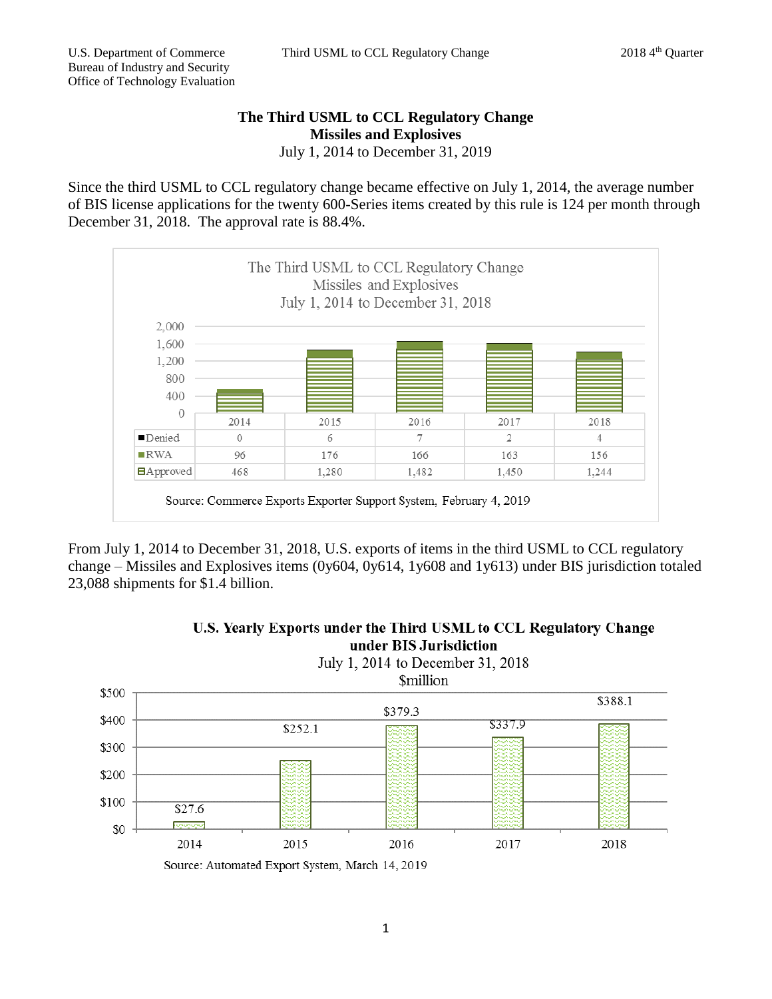## **The Third USML to CCL Regulatory Change Missiles and Explosives** July 1, 2014 to December 31, 2019

Since the third USML to CCL regulatory change became effective on July 1, 2014, the average number of BIS license applications for the twenty 600-Series items created by this rule is 124 per month through December 31, 2018. The approval rate is 88.4%.



From July 1, 2014 to December 31, 2018, U.S. exports of items in the third USML to CCL regulatory change – Missiles and Explosives items (0y604, 0y614, 1y608 and 1y613) under BIS jurisdiction totaled 23,088 shipments for \$1.4 billion.



## U.S. Yearly Exports under the Third USML to CCL Regulatory Change

Source: Automated Export System, March 14, 2019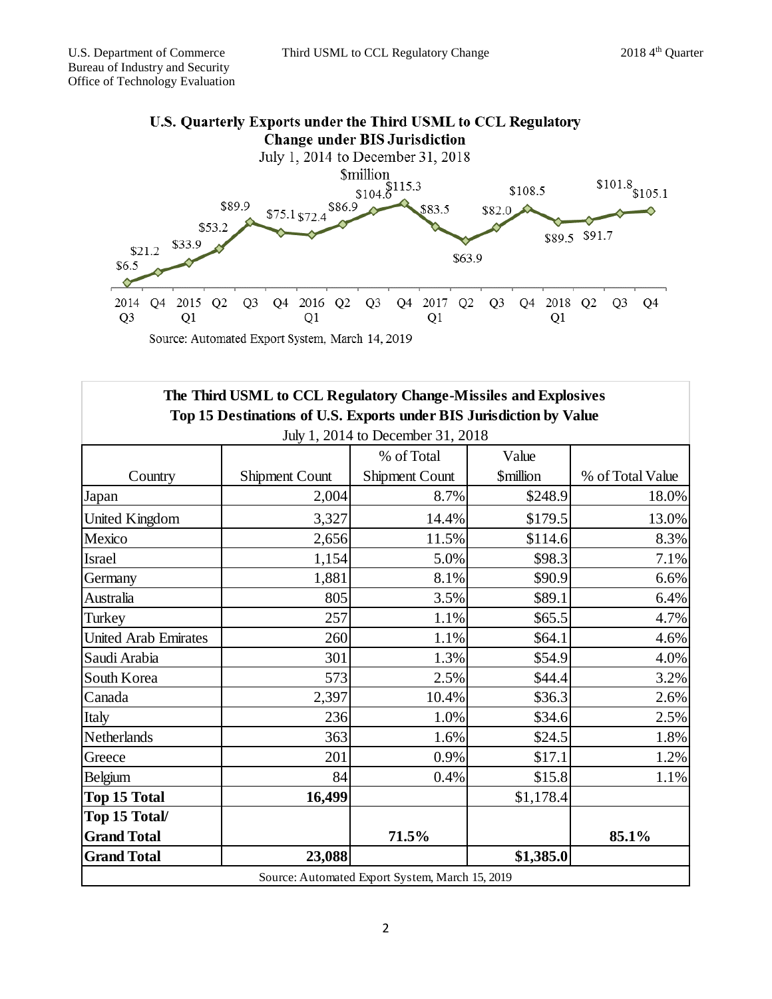

Country Shipment Count % of Total Shipment Count Value \$million % of Total Value Japan 18.0%  $2,004$  8.7%  $$248.9$  18.0% United Kingdom  $3,327$  14.4%  $$179.5$  13.0% Mexico 11.5%  $3\%$ Israel 1,154 5.0% \$98.3 7.1% Germany 1,881 8.1%  $8.1\%$  8.90.9 6.6% Australia (a. 1910) (a. 1910) (a. 1910) (a. 1910) (a. 1910) (a. 1910) (a. 1920) (a. 1920) (a. 1920) (a. 1920) ( Turkey 257  $257$  1.1%  $\frac{100}{100}$  1.65.5 4.7% United Arab Emirates  $\begin{array}{ccc} 260 & 1.1\% & 0.64.1 & 4.6\% \end{array}$ Saudi Arabia 301 1.3% \$54.9 4.0% South Korea 1 573 2.5%  $\vert$  544.4 3.2% Canada 10.4%  $\begin{array}{|l} \hline 2,397 & 10.4\% \end{array}$  \$36.3 2.6% Italy  $236$   $1.0\%$   $$34.6$   $2.5\%$ Netherlands 1.6%  $\begin{array}{|l|c|c|c|c|c|c|c|c|} \hline \text{Netherlands} & 363 & 1.6\% \hline \end{array}$ Greece 201  $201$  0.9% \$17.1 1.2% Belgium  $84$   $0.4\%$   $$15.8$   $1.1\%$ **Top 15 Total 16,499 16,499** \$1,178.4 **Top 15 Total/** Grand Total **85.1% Grand Total 23,088 \$1,385.0 The Third USML to CCL Regulatory Change-Missiles and Explosives Top 15 Destinations of U.S. Exports under BIS Jurisdiction by Value** July 1, 2014 to December 31, 2018 Source: Automated Export System, March 15, 2019